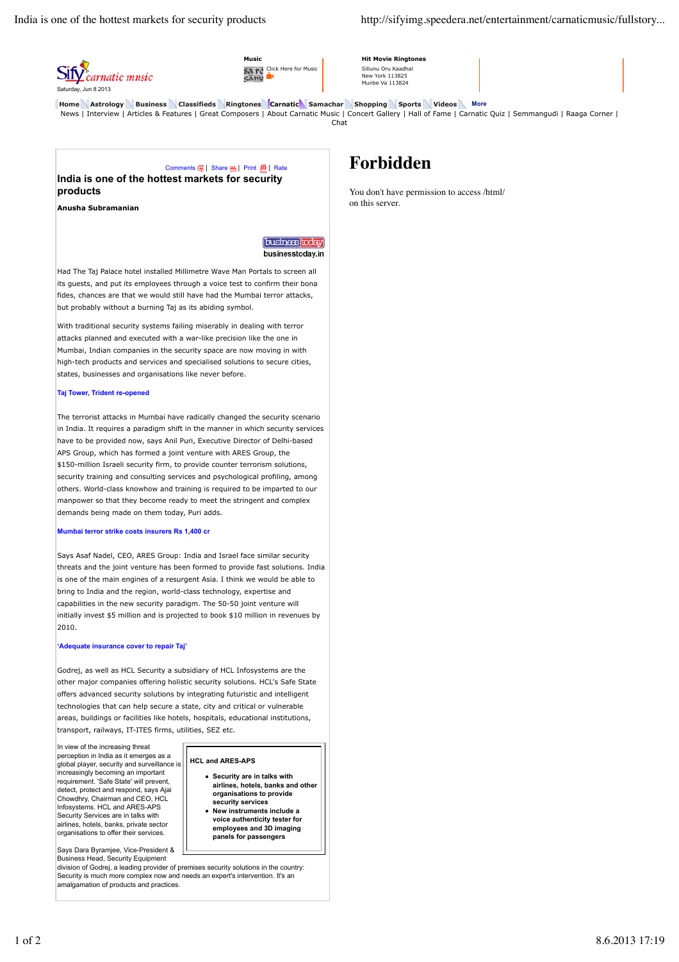

**Music** SA TC Click Here for Music<br>CAMA **Hit Movie Ringtones** Sillunu Oru Kaadhal New York 113825 Munbe Va 113824

**Home Astrology Business Classifieds Ringtones Carnatic Samachar Shopping Sports Videos More** News | Interview | Articles & Features | Great Composers | About Carnatic Music | Concert Gallery | Hall of Fame | Carnatic Quiz | Semmangudi | Raaga Corner | Chat

## Comments **(5)** | Share **A** | Print **A** | Rate **India is one of the hottest markets for security products**

**Anusha Subramanian**

[business]today] businesstoday.in

Had The Taj Palace hotel installed Millimetre Wave Man Portals to screen all its guests, and put its employees through a voice test to confirm their bona fides, chances are that we would still have had the Mumbai terror attacks, but probably without a burning Taj as its abiding symbol.

With traditional security systems failing miserably in dealing with terror attacks planned and executed with a war-like precision like the one in Mumbai, Indian companies in the security space are now moving in with high-tech products and services and specialised solutions to secure cities, states, businesses and organisations like never before.

### **Taj Tower, Trident re-opened**

The terrorist attacks in Mumbai have radically changed the security scenario in India. It requires a paradigm shift in the manner in which security services have to be provided now, says Anil Puri, Executive Director of Delhi-based APS Group, which has formed a joint venture with ARES Group, the \$150-million Israeli security firm, to provide counter terrorism solutions, security training and consulting services and psychological profiling, among others. World-class knowhow and training is required to be imparted to our manpower so that they become ready to meet the stringent and complex demands being made on them today, Puri adds.

## **Mumbai terror strike costs insurers Rs 1,400 cr**

Says Asaf Nadel, CEO, ARES Group: India and Israel face similar security threats and the joint venture has been formed to provide fast solutions. India is one of the main engines of a resurgent Asia. I think we would be able to bring to India and the region, world-class technology, expertise and capabilities in the new security paradigm. The 50-50 joint venture will initially invest \$5 million and is projected to book \$10 million in revenues by 2010.

### **'Adequate insurance cover to repair Taj'**

Godrej, as well as HCL Security a subsidiary of HCL Infosystems are the other major companies offering holistic security solutions. HCL's Safe State offers advanced security solutions by integrating futuristic and intelligent technologies that can help secure a state, city and critical or vulnerable areas, buildings or facilities like hotels, hospitals, educational institutions, transport, railways, IT-ITES firms, utilities, SEZ etc.

**HCL and ARES-APS**

**Security are in talks with airlines, hotels, banks and other organisations to provide security services New instruments include a voice authenticity tester for employees and 3D imaging panels for passengers**

In view of the increasing threat perception in India as it emerges as a global player, security and surveillance is increasingly becoming an important requirement. 'Safe State' will prevent, detect, protect and respond, says Ajai Chowdhry, Chairman and CEO, HCL Infosystems. HCL and ARES-APS Security Services are in talks with airlines, hotels, banks, private sector organisations to offer their services.

Says Dara Byramjee, Vice-President & Business Head, Security Equipment

division of Godrej, a leading provider of premises security solutions in the country: Security is much more complex now and needs an expert's intervention. It's an amalgamation of products and practices.

# **Forbidden**

You don't have permission to access /html/ on this server.